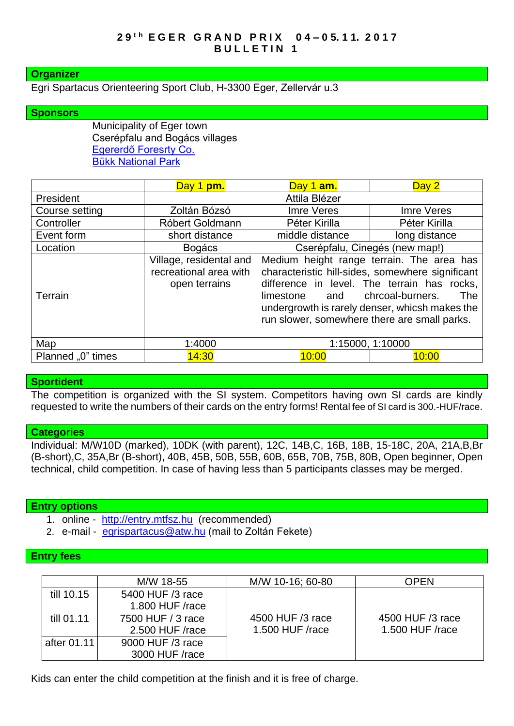# **Organizer**

## Egri Spartacus Orienteering Sport Club, H-3300 Eger, Zellervár u.3

## **Sponsors**

Municipality of Eger town Cserépfalu and Bogács villages [Egererdő Foresrty Co.](http://client4.springmedia.hu/) [Bükk National Park](http://en.bnpi.hu/)

|                   | Day 1 pm.                                                          | Day 1 am.                                                                                                                                                                                                                                                                                     | Day 2         |
|-------------------|--------------------------------------------------------------------|-----------------------------------------------------------------------------------------------------------------------------------------------------------------------------------------------------------------------------------------------------------------------------------------------|---------------|
| President         | Attila Blézer                                                      |                                                                                                                                                                                                                                                                                               |               |
| Course setting    | Zoltán Bózsó                                                       | Imre Veres                                                                                                                                                                                                                                                                                    | Imre Veres    |
| Controller        | Róbert Goldmann                                                    | Péter Kirilla                                                                                                                                                                                                                                                                                 | Péter Kirilla |
| Event form        | short distance                                                     | middle distance                                                                                                                                                                                                                                                                               | long distance |
| Location          | <b>Bogács</b>                                                      | Cserépfalu, Cinegés (new map!)                                                                                                                                                                                                                                                                |               |
| Terrain           | Village, residental and<br>recreational area with<br>open terrains | Medium height range terrain. The area has<br>characteristic hill-sides, somewhere significant<br>difference in level. The terrain has rocks,<br>chrcoal-burners.<br>The<br>limestone<br>and<br>undergrowth is rarely denser, whicsh makes the<br>run slower, somewhere there are small parks. |               |
| Map               | 1:4000                                                             | 1:15000, 1:10000                                                                                                                                                                                                                                                                              |               |
| Planned "0" times | 14:30                                                              | 10:00                                                                                                                                                                                                                                                                                         | 10:00         |

#### **Sportident**

The competition is organized with the SI system. Competitors having own SI cards are kindly requested to write the numbers of their cards on the entry forms! Rental fee of SI card is 300.-HUF/race.

#### **Categories**

Individual: M/W10D (marked), 10DK (with parent), 12C, 14B,C, 16B, 18B, 15-18C, 20A, 21A,B,Br (B-short),C, 35A,Br (B-short), 40B, 45B, 50B, 55B, 60B, 65B, 70B, 75B, 80B, Open beginner, Open technical, child competition. In case of having less than 5 participants classes may be merged.

#### **Entry options**

- 1. online [http://entry.mtfsz.hu](http://entry.mtfsz.hu/) (recommended)
- 2. e-mail [egrispartacus@atw.hu](mailto:egrispartacus@atw.hu) (mail to Zoltán Fekete)

# **Entry fees**

|             | M/W 18-55         | M/W 10-16; 60-80 | <b>OPEN</b>      |
|-------------|-------------------|------------------|------------------|
| till 10.15  | 5400 HUF /3 race  |                  |                  |
|             | 1.800 HUF /race   |                  |                  |
| till 01.11  | 7500 HUF / 3 race | 4500 HUF /3 race | 4500 HUF /3 race |
|             | 2.500 HUF /race   | 1.500 HUF /race  | 1.500 HUF /race  |
| after 01.11 | 9000 HUF /3 race  |                  |                  |
|             | 3000 HUF /race    |                  |                  |

Kids can enter the child competition at the finish and it is free of charge.